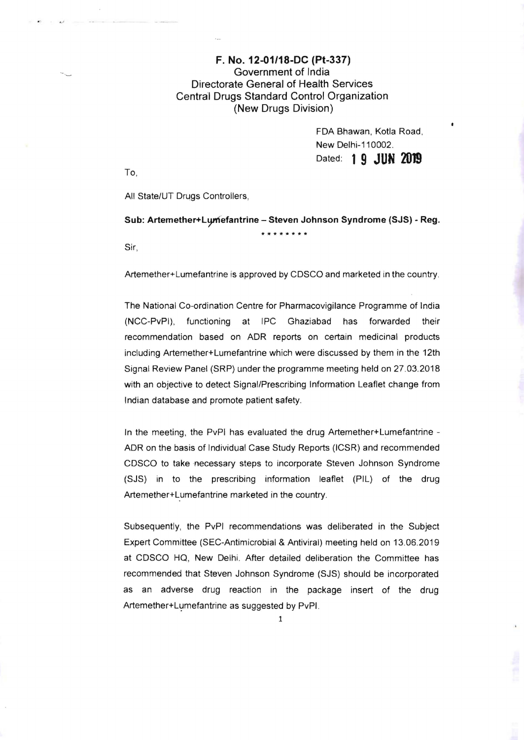## F. No. 12-01/18-DC (Pt-337) Government of India Directorate General of Health Services Central Drugs Standard Control Organization (New Drugs Division)

FDA Shawan, Kotla Road, New Delhi-110002. Dated: 1**9 JUN 2019** 

To,

All State/UT Druqs Controllers,

Sub: Artemether+Lymefantrine - Steven Johnson Syndrome (SJS) - Reg. **\*\*\*\*\*\*\*\*** 

Sir,

Artemether+Lumefantrine is approved by CDSCO and marketed in the country,

The National Co-ordination Centre for Pharmacovigilance Programme of India (NCC-PvPI), functioning at IPC Ghaziabad has forwarded their recommendation based on ADR reports on certain medicinal products including Artemether+Lumefantrine which were discussed by them in the 12th Signal Review Panel (SRP) under the programme meeting held on 27.03.2018 with an objective to detect Signal/Prescribing Information Leaflet change from Indian database and promote patient safety.

In the meeting, the PvPI has evaluated the drug Artemether+Lumefantrine -ADR on the basis of Individual Case Study Reports (ICSR) and recommended CDSCO to take necessary steps to incorporate Steven Johnson Syndrome (SJS) in to the prescribing information leaflet (PIL) of the drug Artemether+Lumefantrine marketed in the country.

Subsequently, the PvPI recommendations was deliberated in the Subject Expert Committee (SEC-Antimicrobial & Antiviral) meeting held on 13.06.2019 at CDSCO HQ, New Delhi. After detailed deliberation the Committee has recommended that Steven Johnson Syndrome (SJS) should be incorporated as an adverse drug reaction in the package insert of the drug Artemether+Lumefantrine as suggested by PvPI.